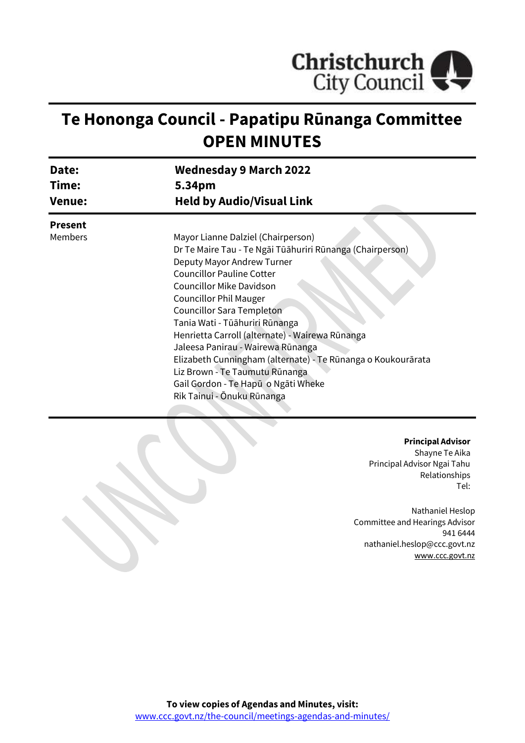

# **Te Hononga Council - Papatipu Rūnanga Committee OPEN MINUTES**

| Date:<br>Time:<br><b>Venue:</b>                           | <b>Wednesday 9 March 2022</b><br>5.34pm<br><b>Held by Audio/Visual Link</b> |                |                                    |
|-----------------------------------------------------------|-----------------------------------------------------------------------------|----------------|------------------------------------|
|                                                           |                                                                             | <b>Present</b> |                                    |
|                                                           |                                                                             | Members        | Mayor Lianne Dalziel (Chairperson) |
| Dr Te Maire Tau - Te Ngāi Tūāhuriri Rūnanga (Chairperson) |                                                                             |                |                                    |
| Deputy Mayor Andrew Turner                                |                                                                             |                |                                    |
| <b>Councillor Pauline Cotter</b>                          |                                                                             |                |                                    |
| <b>Councillor Mike Davidson</b>                           |                                                                             |                |                                    |
| <b>Councillor Phil Mauger</b>                             |                                                                             |                |                                    |
| <b>Councillor Sara Templeton</b>                          |                                                                             |                |                                    |
| Tania Wati - Tūāhuriri Rūnanga                            |                                                                             |                |                                    |
| Henrietta Carroll (alternate) - Wairewa Rūnanga           |                                                                             |                |                                    |
|                                                           | Jaleesa Panirau - Wairewa Rūnanga                                           |                |                                    |
|                                                           | Elizabeth Cunningham (alternate) - Te Rūnanga o Koukourārata                |                |                                    |
|                                                           | Liz Brown - Te Taumutu Rūnanga                                              |                |                                    |
|                                                           | Gail Gordon - Te Hapū o Ngāti Wheke                                         |                |                                    |
|                                                           | Rik Tainui - Ōnuku Rūnanga                                                  |                |                                    |
|                                                           |                                                                             |                |                                    |

#### **Principal Advisor**

Shayne Te Aika Principal Advisor Ngai Tahu Relationships Tel:

Nathaniel Heslop Committee and Hearings Advisor 941 6444 nathaniel.heslop@ccc.govt.nz [www.ccc.govt.nz](http://www.ccc.govt.nz/)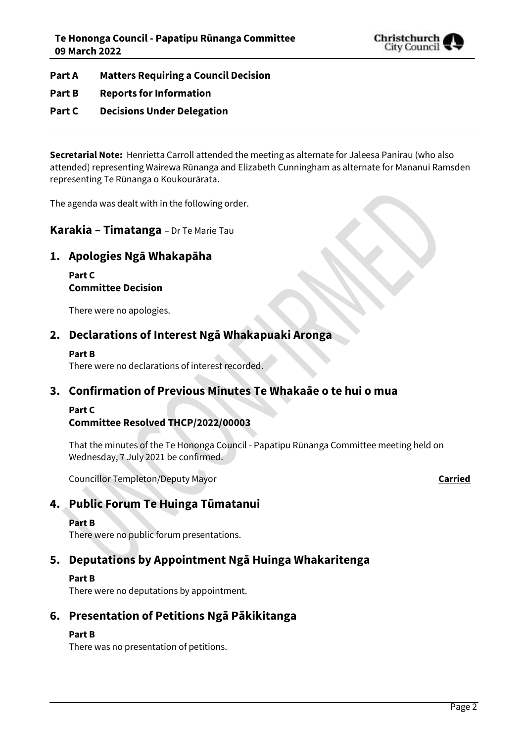

- **Part A Matters Requiring a Council Decision**
- **Part B Reports for Information**
- **Part C Decisions Under Delegation**

**Secretarial Note:** Henrietta Carroll attended the meeting as alternate for Jaleesa Panirau (who also attended) representing Wairewa Rūnanga and Elizabeth Cunningham as alternate for Mananui Ramsden representing Te Rūnanga o Koukourārata.

The agenda was dealt with in the following order.

## **Karakia – Timatanga** – Dr Te Marie Tau

# **1. Apologies Ngā Whakapāha**

**Part C Committee Decision**

There were no apologies.

# **2. Declarations of Interest Ngā Whakapuaki Aronga**

#### **Part B**

There were no declarations of interest recorded.

# **3. Confirmation of Previous Minutes Te Whakaāe o te hui o mua**

#### **Part C**

# **Committee Resolved THCP/2022/00003**

That the minutes of the Te Hononga Council - Papatipu Rūnanga Committee meeting held on Wednesday, 7 July 2021 be confirmed.

Councillor Templeton/Deputy Mayor **Carried**

# **4. Public Forum Te Huinga Tūmatanui**

#### **Part B**

There were no public forum presentations.

# **5. Deputations by Appointment Ngā Huinga Whakaritenga**

#### **Part B**

There were no deputations by appointment.

# **6. Presentation of Petitions Ngā Pākikitanga**

#### **Part B**

There was no presentation of petitions.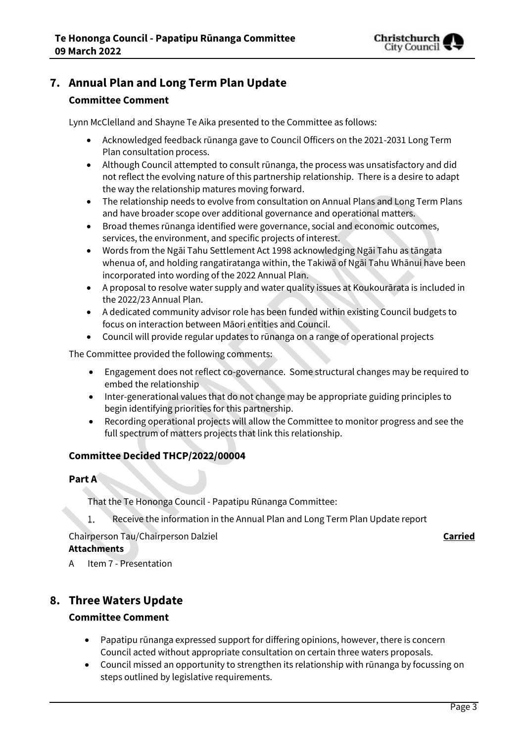

# **7. Annual Plan and Long Term Plan Update**

## **Committee Comment**

Lynn McClelland and Shayne Te Aika presented to the Committee as follows:

- Acknowledged feedback rūnanga gave to Council Officers on the 2021-2031 Long Term Plan consultation process.
- Although Council attempted to consult rūnanga, the process was unsatisfactory and did not reflect the evolving nature of this partnership relationship. There is a desire to adapt the way the relationship matures moving forward.
- The relationship needs to evolve from consultation on Annual Plans and Long Term Plans and have broader scope over additional governance and operational matters.
- Broad themes rūnanga identified were governance, social and economic outcomes, services, the environment, and specific projects of interest.
- Words from the Ngāi Tahu Settlement Act 1998 acknowledging Ngāi Tahu as tāngata whenua of, and holding rangatiratanga within, the Takiwā of Ngāi Tahu Whānui have been incorporated into wording of the 2022 Annual Plan.
- A proposal to resolve water supply and water quality issues at Koukourārata is included in the 2022/23 Annual Plan.
- A dedicated community advisor role has been funded within existing Council budgets to focus on interaction between Māori entities and Council.
- Council will provide regular updates to rūnanga on a range of operational projects

The Committee provided the following comments:

- Engagement does not reflect co-governance. Some structural changes may be required to embed the relationship
- Inter-generational values that do not change may be appropriate guiding principles to begin identifying priorities for this partnership.
- Recording operational projects will allow the Committee to monitor progress and see the full spectrum of matters projects that link this relationship.

#### **Committee Decided THCP/2022/00004**

#### **Part A**

That the Te Hononga Council - Papatipu Rūnanga Committee:

Receive the information in the Annual Plan and Long Term Plan Update report 1.

#### Chairperson Tau/Chairperson Dalziel **Carried Attachments**

A Item 7 - Presentation

# **8. Three Waters Update**

#### **Committee Comment**

- Papatipu rūnanga expressed support for differing opinions, however, there is concern Council acted without appropriate consultation on certain three waters proposals.
- Council missed an opportunity to strengthen its relationship with rūnanga by focussing on steps outlined by legislative requirements.